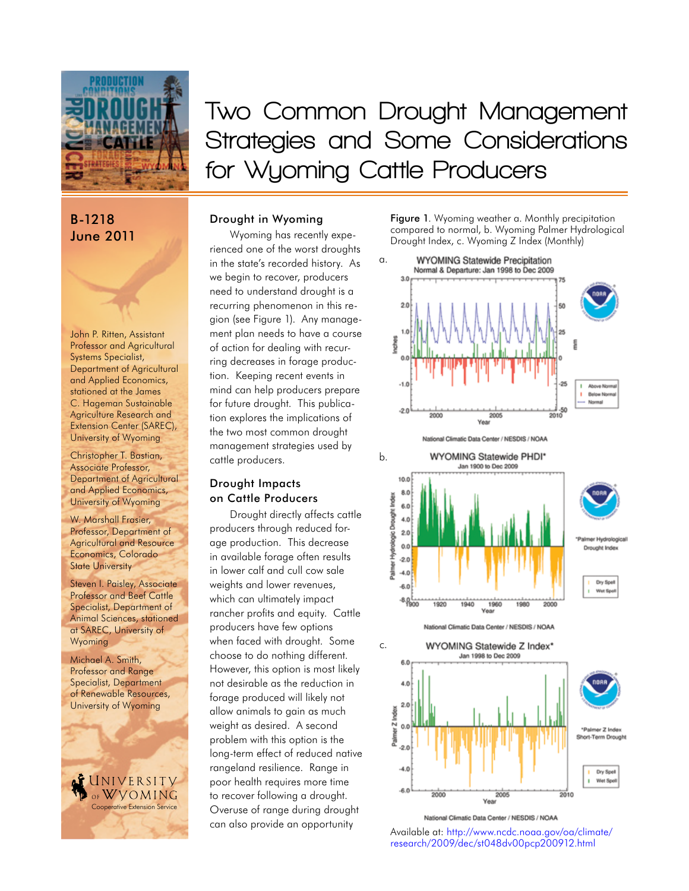

# B-1218 June 2011

John P. Ritten, Assistant Professor and Agricultural Systems Specialist, Department of Agricultural and Applied Economics, stationed at the James C. Hageman Sustainable Agriculture Research and Extension Center (SAREC), University of Wyoming

Christopher T. Bastian, Associate Professor, Department of Agricultural and Applied Economics, University of Wyoming

W. Marshall Frasier, Professor, Department of Agricultural and Resource Economics, Colorado **State University** 

Steven I. Paisley, Associate Professor and Beef Cattle Specialist, Department of Animal Sciences, stationed at SAREC, University of Wyoming

Michael A. Smith, Professor and Range Specialist, Department of Renewable Resources, University of Wyoming

NIVERSITV WVOMING Cooperative Extension Service

**Two Common Drought Management Strategies and Some Considerations for Wyoming Cattle Producers**

# Drought in Wyoming

Wyoming has recently experienced one of the worst droughts in the state's recorded history. As we begin to recover, producers need to understand drought is a recurring phenomenon in this region (see Figure 1). Any management plan needs to have a course of action for dealing with recurring decreases in forage production. Keeping recent events in mind can help producers prepare for future drought. This publication explores the implications of the two most common drought management strategies used by cattle producers.

# Drought Impacts on Cattle Producers

Drought directly affects cattle producers through reduced forage production. This decrease in available forage often results in lower calf and cull cow sale weights and lower revenues, which can ultimately impact rancher profits and equity. Cattle producers have few options when faced with drought. Some choose to do nothing different. However, this option is most likely not desirable as the reduction in forage produced will likely not allow animals to gain as much weight as desired. A second problem with this option is the long-term effect of reduced native rangeland resilience. Range in poor health requires more time to recover following a drought. Overuse of range during drought can also provide an opportunity

Figure 1. Wyoming weather a. Monthly precipitation compared to normal, b. Wyoming Palmer Hydrological Drought Index, c. Wyoming Z Index (Monthly)







Vea National Climatic Data Center / NESDIS / NOAA

 $2.0$ 

 $-2.0$  $-4.0$ 

 $-6.0$ 

 $2000$ 

Palmer Z Index  $0.0$ 

Available at: [http://www.ncdc.noaa.gov/oa/climate/](http://www.ncdc.noaa.gov/oa/climate/research/2009/dec/st048dv00pcp200912.html) [research/2009/dec/st048dv00pcp200912.html](http://www.ncdc.noaa.gov/oa/climate/research/2009/dec/st048dv00pcp200912.html)

2005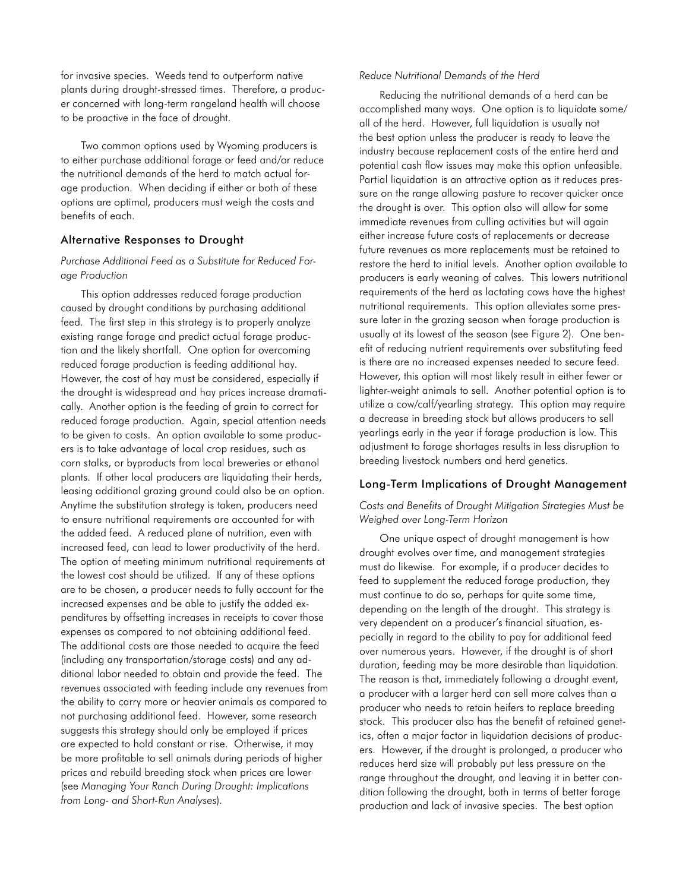for invasive species. Weeds tend to outperform native plants during drought-stressed times. Therefore, a producer concerned with long-term rangeland health will choose to be proactive in the face of drought.

Two common options used by Wyoming producers is to either purchase additional forage or feed and/or reduce the nutritional demands of the herd to match actual forage production. When deciding if either or both of these options are optimal, producers must weigh the costs and benefits of each.

### Alternative Responses to Drought

## *Purchase Additional Feed as a Substitute for Reduced Forage Production*

This option addresses reduced forage production caused by drought conditions by purchasing additional feed. The first step in this strategy is to properly analyze existing range forage and predict actual forage production and the likely shortfall. One option for overcoming reduced forage production is feeding additional hay. However, the cost of hay must be considered, especially if the drought is widespread and hay prices increase dramatically. Another option is the feeding of grain to correct for reduced forage production. Again, special attention needs to be given to costs. An option available to some producers is to take advantage of local crop residues, such as corn stalks, or byproducts from local breweries or ethanol plants. If other local producers are liquidating their herds, leasing additional grazing ground could also be an option. Anytime the substitution strategy is taken, producers need to ensure nutritional requirements are accounted for with the added feed. A reduced plane of nutrition, even with increased feed, can lead to lower productivity of the herd. The option of meeting minimum nutritional requirements at the lowest cost should be utilized. If any of these options are to be chosen, a producer needs to fully account for the increased expenses and be able to justify the added expenditures by offsetting increases in receipts to cover those expenses as compared to not obtaining additional feed. The additional costs are those needed to acquire the feed (including any transportation/storage costs) and any additional labor needed to obtain and provide the feed. The revenues associated with feeding include any revenues from the ability to carry more or heavier animals as compared to not purchasing additional feed. However, some research suggests this strategy should only be employed if prices are expected to hold constant or rise. Otherwise, it may be more profitable to sell animals during periods of higher prices and rebuild breeding stock when prices are lower (see *Managing Your Ranch During Drought: Implications from Long- and Short-Run Analyses*).

#### *Reduce Nutritional Demands of the Herd*

Reducing the nutritional demands of a herd can be accomplished many ways. One option is to liquidate some/ all of the herd. However, full liquidation is usually not the best option unless the producer is ready to leave the industry because replacement costs of the entire herd and potential cash flow issues may make this option unfeasible. Partial liquidation is an attractive option as it reduces pressure on the range allowing pasture to recover quicker once the drought is over. This option also will allow for some immediate revenues from culling activities but will again either increase future costs of replacements or decrease future revenues as more replacements must be retained to restore the herd to initial levels. Another option available to producers is early weaning of calves. This lowers nutritional requirements of the herd as lactating cows have the highest nutritional requirements. This option alleviates some pressure later in the grazing season when forage production is usually at its lowest of the season (see Figure 2). One benefit of reducing nutrient requirements over substituting feed is there are no increased expenses needed to secure feed. However, this option will most likely result in either fewer or lighter-weight animals to sell. Another potential option is to utilize a cow/calf/yearling strategy. This option may require a decrease in breeding stock but allows producers to sell yearlings early in the year if forage production is low. This adjustment to forage shortages results in less disruption to breeding livestock numbers and herd genetics.

#### Long-Term Implications of Drought Management

### *Costs and Benefits of Drought Mitigation Strategies Must be Weighed over Long-Term Horizon*

One unique aspect of drought management is how drought evolves over time, and management strategies must do likewise. For example, if a producer decides to feed to supplement the reduced forage production, they must continue to do so, perhaps for quite some time, depending on the length of the drought. This strategy is very dependent on a producer's financial situation, especially in regard to the ability to pay for additional feed over numerous years. However, if the drought is of short duration, feeding may be more desirable than liquidation. The reason is that, immediately following a drought event, a producer with a larger herd can sell more calves than a producer who needs to retain heifers to replace breeding stock. This producer also has the benefit of retained genetics, often a major factor in liquidation decisions of producers. However, if the drought is prolonged, a producer who reduces herd size will probably put less pressure on the range throughout the drought, and leaving it in better condition following the drought, both in terms of better forage production and lack of invasive species. The best option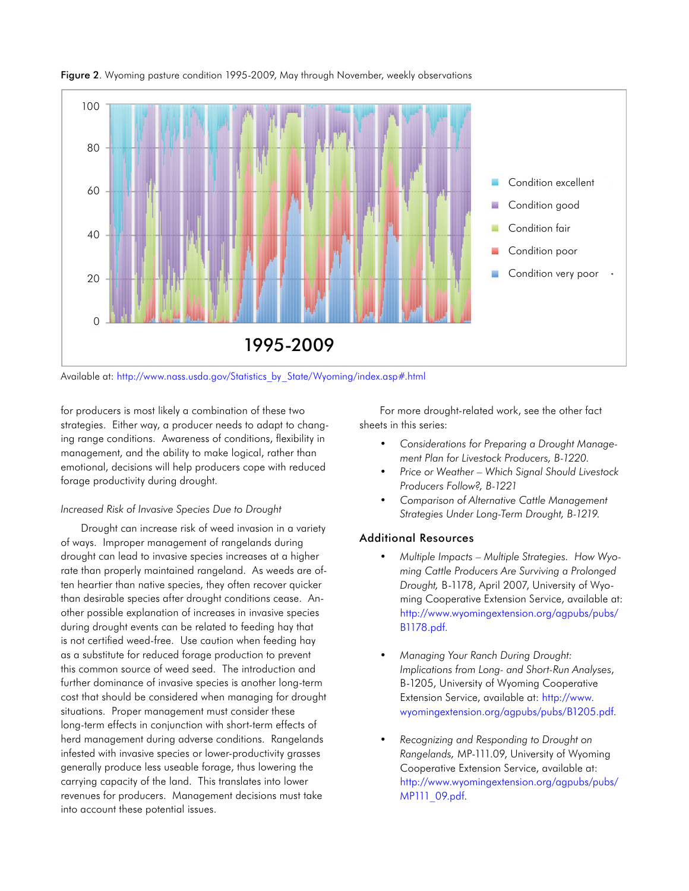

Figure 2. Wyoming pasture condition 1995-2009, May through November, weekly observations

Available at: [http://www.nass.usda.gov/Statistics\\_by\\_State/Wyoming/index.asp#.html](http://www.nass.usda.gov/Statistics_by_State/Wyoming/index.asp#.html)

for producers is most likely a combination of these two strategies. Either way, a producer needs to adapt to changing range conditions. Awareness of conditions, flexibility in management, and the ability to make logical, rather than emotional, decisions will help producers cope with reduced forage productivity during drought.

### *Increased Risk of Invasive Species Due to Drought*

Drought can increase risk of weed invasion in a variety of ways. Improper management of rangelands during drought can lead to invasive species increases at a higher rate than properly maintained rangeland. As weeds are often heartier than native species, they often recover quicker than desirable species after drought conditions cease. Another possible explanation of increases in invasive species during drought events can be related to feeding hay that is not certified weed-free. Use caution when feeding hay as a substitute for reduced forage production to prevent this common source of weed seed. The introduction and further dominance of invasive species is another long-term cost that should be considered when managing for drought situations. Proper management must consider these long-term effects in conjunction with short-term effects of herd management during adverse conditions. Rangelands infested with invasive species or lower-productivity grasses generally produce less useable forage, thus lowering the carrying capacity of the land. This translates into lower revenues for producers. Management decisions must take into account these potential issues.

For more drought-related work, see the other fact sheets in this series:

- *• Considerations for Preparing a Drought Management Plan for Livestock Producers, B-1220.*
- *• Price or Weather Which Signal Should Livestock Producers Follow?, B-1221*
- *• Comparison of Alternative Cattle Management Strategies Under Long-Term Drought, B-1219.*

# Additional Resources

- *• Multiple Impacts Multiple Strategies. How Wyoming Cattle Producers Are Surviving a Prolonged Drought,* B-1178, April 2007, University of Wyoming Cooperative Extension Service, available at: [http://www.wyomingextension.org/agpubs/pubs/](http://www.wyomingextension.org/agpubs/pubs/B1178.pdf) [B1178.pdf](http://www.wyomingextension.org/agpubs/pubs/B1178.pdf).
- *• Managing Your Ranch During Drought: Implications from Long- and Short-Run Analyses*, B-1205, University of Wyoming Cooperative Extension Service, available at: [http://www.](http://www.wyomingextension.org/agpubs/pubs/B1205.pdf) [wyomingextension.org/agpubs/pubs/B1205.pdf](http://www.wyomingextension.org/agpubs/pubs/B1205.pdf).
- *• Recognizing and Responding to Drought on Rangelands,* MP-111.09, University of Wyoming Cooperative Extension Service, available at: [http://www.wyomingextension.org/agpubs/pubs/](http://www.wyomingextension.org/agpubs/pubs/MP111_09.pdf) [MP111\\_09.pdf.](http://www.wyomingextension.org/agpubs/pubs/MP111_09.pdf)